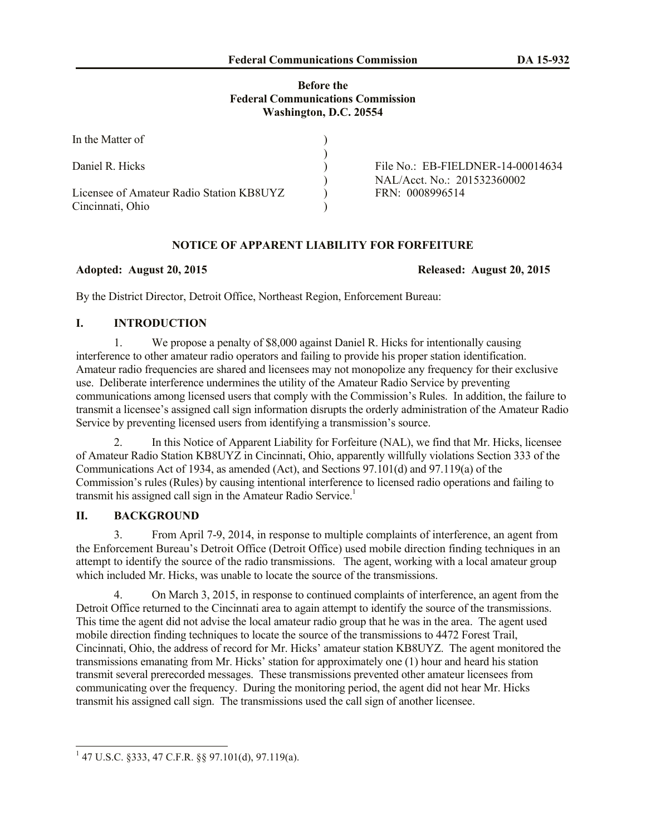# **Before the Federal Communications Commission Washington, D.C. 20554**

| In the Matter of                         |                                   |
|------------------------------------------|-----------------------------------|
|                                          |                                   |
| Daniel R. Hicks                          | File No.: EB-FIELDNER-14-00014634 |
|                                          | NAL/Acct. No.: 201532360002       |
| Licensee of Amateur Radio Station KB8UYZ | FRN: 0008996514                   |
| Cincinnati, Ohio                         |                                   |

# **NOTICE OF APPARENT LIABILITY FOR FORFEITURE**

#### **Adopted: August 20, 2015 Released: August 20, 2015**

By the District Director, Detroit Office, Northeast Region, Enforcement Bureau:

# **I. INTRODUCTION**

1. We propose a penalty of \$8,000 against Daniel R. Hicks for intentionally causing interference to other amateur radio operators and failing to provide his proper station identification. Amateur radio frequencies are shared and licensees may not monopolize any frequency for their exclusive use. Deliberate interference undermines the utility of the Amateur Radio Service by preventing communications among licensed users that comply with the Commission's Rules. In addition, the failure to transmit a licensee's assigned call sign information disrupts the orderly administration of the Amateur Radio Service by preventing licensed users from identifying a transmission's source.

2. In this Notice of Apparent Liability for Forfeiture (NAL), we find that Mr. Hicks, licensee of Amateur Radio Station KB8UYZ in Cincinnati, Ohio, apparently willfully violations Section 333 of the Communications Act of 1934, as amended (Act), and Sections 97.101(d) and 97.119(a) of the Commission's rules (Rules) by causing intentional interference to licensed radio operations and failing to transmit his assigned call sign in the Amateur Radio Service.<sup>1</sup>

# **II. BACKGROUND**

3. From April 7-9, 2014, in response to multiple complaints of interference, an agent from the Enforcement Bureau's Detroit Office (Detroit Office) used mobile direction finding techniques in an attempt to identify the source of the radio transmissions. The agent, working with a local amateur group which included Mr. Hicks, was unable to locate the source of the transmissions.

4. On March 3, 2015, in response to continued complaints of interference, an agent from the Detroit Office returned to the Cincinnati area to again attempt to identify the source of the transmissions. This time the agent did not advise the local amateur radio group that he was in the area. The agent used mobile direction finding techniques to locate the source of the transmissions to 4472 Forest Trail, Cincinnati, Ohio, the address of record for Mr. Hicks' amateur station KB8UYZ. The agent monitored the transmissions emanating from Mr. Hicks' station for approximately one (1) hour and heard his station transmit several prerecorded messages. These transmissions prevented other amateur licensees from communicating over the frequency. During the monitoring period, the agent did not hear Mr. Hicks transmit his assigned call sign. The transmissions used the call sign of another licensee.

 1 47 U.S.C. §333, 47 C.F.R. §§ 97.101(d), 97.119(a).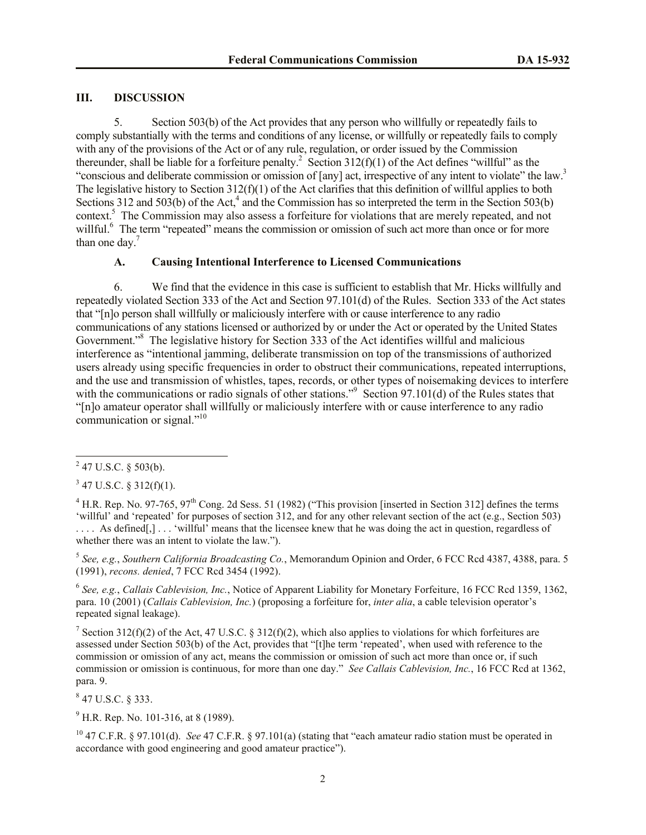#### **III. DISCUSSION**

5. Section 503(b) of the Act provides that any person who willfully or repeatedly fails to comply substantially with the terms and conditions of any license, or willfully or repeatedly fails to comply with any of the provisions of the Act or of any rule, regulation, or order issued by the Commission thereunder, shall be liable for a forfeiture penalty.<sup>2</sup> Section  $312(f)(1)$  of the Act defines "willful" as the "conscious and deliberate commission or omission of [any] act, irrespective of any intent to violate" the law.<sup>3</sup> The legislative history to Section  $312(f)(1)$  of the Act clarifies that this definition of willful applies to both Sections 312 and 503(b) of the Act, $4$  and the Commission has so interpreted the term in the Section 503(b) context.<sup>5</sup> The Commission may also assess a forfeiture for violations that are merely repeated, and not willful.<sup>6</sup> The term "repeated" means the commission or omission of such act more than once or for more than one day. $<sup>7</sup>$ </sup>

### **A. Causing Intentional Interference to Licensed Communications**

6. We find that the evidence in this case is sufficient to establish that Mr. Hicks willfully and repeatedly violated Section 333 of the Act and Section 97.101(d) of the Rules. Section 333 of the Act states that "[n]o person shall willfully or maliciously interfere with or cause interference to any radio communications of any stations licensed or authorized by or under the Act or operated by the United States Government.<sup>38</sup> The legislative history for Section 333 of the Act identifies willful and malicious interference as "intentional jamming, deliberate transmission on top of the transmissions of authorized users already using specific frequencies in order to obstruct their communications, repeated interruptions, and the use and transmission of whistles, tapes, records, or other types of noisemaking devices to interfere with the communications or radio signals of other stations."<sup>9</sup> Section 97.101(d) of the Rules states that "[n]o amateur operator shall willfully or maliciously interfere with or cause interference to any radio communication or signal."<sup>10</sup>

 $3$  47 U.S.C. § 312(f)(1).

 $^{4}$  H.R. Rep. No. 97-765, 97<sup>th</sup> Cong. 2d Sess. 51 (1982) ("This provision [inserted in Section 312] defines the terms 'willful' and 'repeated' for purposes of section 312, and for any other relevant section of the act (e.g., Section 503) .... As defined[,] ... 'willful' means that the licensee knew that he was doing the act in question, regardless of whether there was an intent to violate the law.").

5 *See, e.g.*, *Southern California Broadcasting Co.*, Memorandum Opinion and Order, 6 FCC Rcd 4387, 4388, para. 5 (1991), *recons. denied*, 7 FCC Rcd 3454 (1992).

6 *See, e.g.*, *Callais Cablevision, Inc.*, Notice of Apparent Liability for Monetary Forfeiture, 16 FCC Rcd 1359, 1362, para. 10 (2001) (*Callais Cablevision, Inc.*) (proposing a forfeiture for, *inter alia*, a cable television operator's repeated signal leakage).

<sup>7</sup> Section 312(f)(2) of the Act, 47 U.S.C. § 312(f)(2), which also applies to violations for which forfeitures are assessed under Section 503(b) of the Act, provides that "[t]he term 'repeated', when used with reference to the commission or omission of any act, means the commission or omission of such act more than once or, if such commission or omission is continuous, for more than one day." *See Callais Cablevision, Inc.*, 16 FCC Rcd at 1362, para. 9.

 $847$  U.S.C. § 333.

 $^{9}$  H.R. Rep. No. 101-316, at 8 (1989).

<sup>10</sup> 47 C.F.R. § 97.101(d). *See* 47 C.F.R. § 97.101(a) (stating that "each amateur radio station must be operated in accordance with good engineering and good amateur practice").

 $^{2}$  47 U.S.C. § 503(b).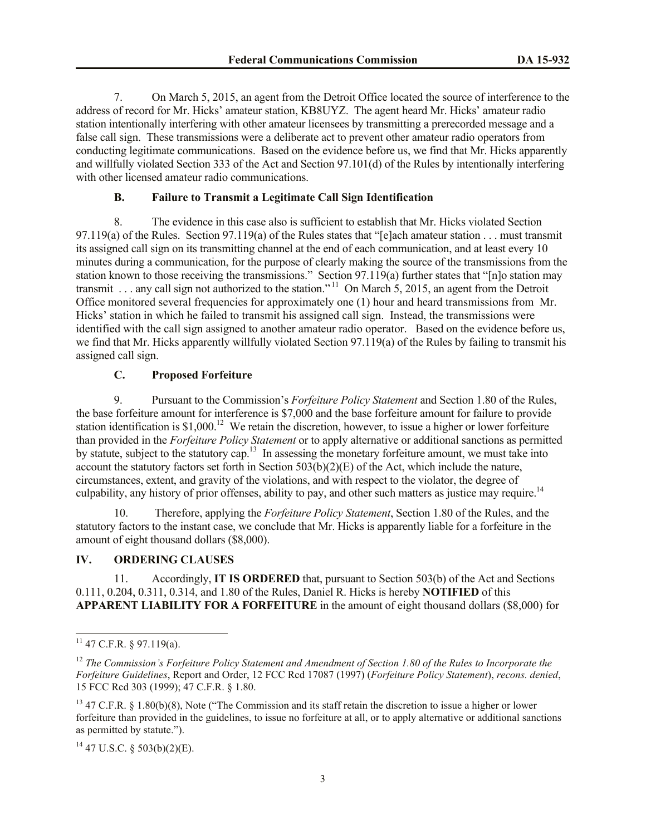7. On March 5, 2015, an agent from the Detroit Office located the source of interference to the address of record for Mr. Hicks' amateur station, KB8UYZ. The agent heard Mr. Hicks' amateur radio station intentionally interfering with other amateur licensees by transmitting a prerecorded message and a false call sign. These transmissions were a deliberate act to prevent other amateur radio operators from conducting legitimate communications. Based on the evidence before us, we find that Mr. Hicks apparently and willfully violated Section 333 of the Act and Section 97.101(d) of the Rules by intentionally interfering with other licensed amateur radio communications.

# **B. Failure to Transmit a Legitimate Call Sign Identification**

8. The evidence in this case also is sufficient to establish that Mr. Hicks violated Section 97.119(a) of the Rules. Section 97.119(a) of the Rules states that "[e]ach amateur station . . . must transmit its assigned call sign on its transmitting channel at the end of each communication, and at least every 10 minutes during a communication, for the purpose of clearly making the source of the transmissions from the station known to those receiving the transmissions." Section 97.119(a) further states that "[n]o station may transmit . . . any call sign not authorized to the station."<sup>11</sup> On March 5, 2015, an agent from the Detroit Office monitored several frequencies for approximately one (1) hour and heard transmissions from Mr. Hicks' station in which he failed to transmit his assigned call sign. Instead, the transmissions were identified with the call sign assigned to another amateur radio operator. Based on the evidence before us, we find that Mr. Hicks apparently willfully violated Section 97.119(a) of the Rules by failing to transmit his assigned call sign.

# **C. Proposed Forfeiture**

9. Pursuant to the Commission's *Forfeiture Policy Statement* and Section 1.80 of the Rules, the base forfeiture amount for interference is \$7,000 and the base forfeiture amount for failure to provide station identification is  $$1,000$ <sup>12</sup> We retain the discretion, however, to issue a higher or lower forfeiture than provided in the *Forfeiture Policy Statement* or to apply alternative or additional sanctions as permitted by statute, subject to the statutory cap.<sup>13</sup> In assessing the monetary forfeiture amount, we must take into account the statutory factors set forth in Section  $503(b)(2)(E)$  of the Act, which include the nature, circumstances, extent, and gravity of the violations, and with respect to the violator, the degree of culpability, any history of prior offenses, ability to pay, and other such matters as justice may require.<sup>14</sup>

10. Therefore, applying the *Forfeiture Policy Statement*, Section 1.80 of the Rules, and the statutory factors to the instant case, we conclude that Mr. Hicks is apparently liable for a forfeiture in the amount of eight thousand dollars (\$8,000).

#### **IV. ORDERING CLAUSES**

11. Accordingly, **IT IS ORDERED** that, pursuant to Section 503(b) of the Act and Sections 0.111, 0.204, 0.311, 0.314, and 1.80 of the Rules, Daniel R. Hicks is hereby **NOTIFIED** of this **APPARENT LIABILITY FOR A FORFEITURE** in the amount of eight thousand dollars (\$8,000) for

 $\overline{a}$ 

 $11$  47 C.F.R. § 97.119(a).

<sup>&</sup>lt;sup>12</sup> *The Commission's Forfeiture Policy Statement and Amendment of Section 1.80 of the Rules to Incorporate the Forfeiture Guidelines*, Report and Order, 12 FCC Rcd 17087 (1997) (*Forfeiture Policy Statement*), *recons. denied*, 15 FCC Rcd 303 (1999); 47 C.F.R. § 1.80.

 $13$  47 C.F.R. § 1.80(b)(8), Note ("The Commission and its staff retain the discretion to issue a higher or lower forfeiture than provided in the guidelines, to issue no forfeiture at all, or to apply alternative or additional sanctions as permitted by statute.").

 $14$  47 U.S.C. § 503(b)(2)(E).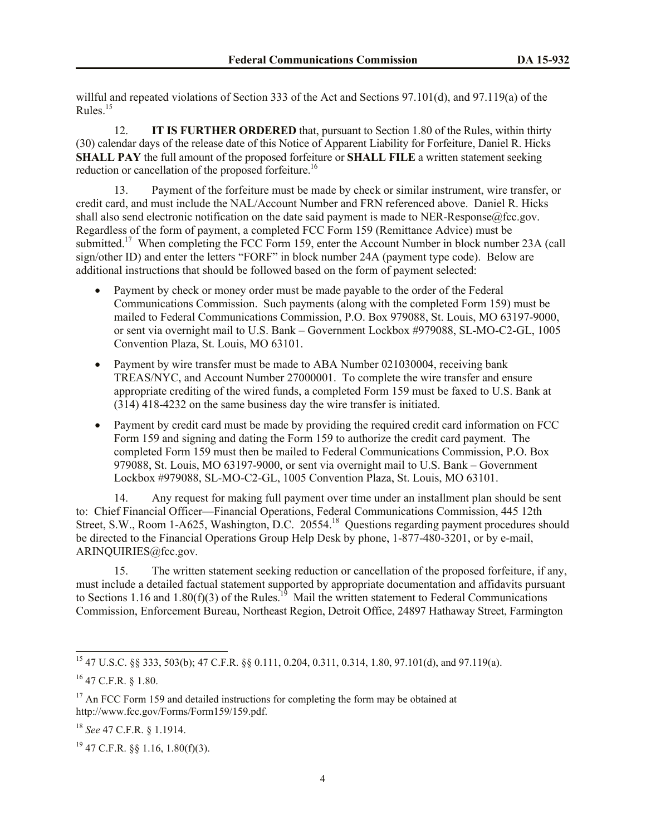willful and repeated violations of Section 333 of the Act and Sections 97.101(d), and 97.119(a) of the Rules. 15

12. **IT IS FURTHER ORDERED** that, pursuant to Section 1.80 of the Rules, within thirty (30) calendar days of the release date of this Notice of Apparent Liability for Forfeiture, Daniel R. Hicks **SHALL PAY** the full amount of the proposed forfeiture or **SHALL FILE** a written statement seeking reduction or cancellation of the proposed forfeiture.<sup>16</sup>

13. Payment of the forfeiture must be made by check or similar instrument, wire transfer, or credit card, and must include the NAL/Account Number and FRN referenced above. Daniel R. Hicks shall also send electronic notification on the date said payment is made to NER-Response@fcc.gov. Regardless of the form of payment, a completed FCC Form 159 (Remittance Advice) must be submitted.<sup>17</sup> When completing the FCC Form 159, enter the Account Number in block number 23A (call sign/other ID) and enter the letters "FORF" in block number 24A (payment type code). Below are additional instructions that should be followed based on the form of payment selected:

- Payment by check or money order must be made payable to the order of the Federal Communications Commission. Such payments (along with the completed Form 159) must be mailed to Federal Communications Commission, P.O. Box 979088, St. Louis, MO 63197-9000, or sent via overnight mail to U.S. Bank – Government Lockbox #979088, SL-MO-C2-GL, 1005 Convention Plaza, St. Louis, MO 63101.
- Payment by wire transfer must be made to ABA Number 021030004, receiving bank TREAS/NYC, and Account Number 27000001. To complete the wire transfer and ensure appropriate crediting of the wired funds, a completed Form 159 must be faxed to U.S. Bank at (314) 418-4232 on the same business day the wire transfer is initiated.
- Payment by credit card must be made by providing the required credit card information on FCC Form 159 and signing and dating the Form 159 to authorize the credit card payment. The completed Form 159 must then be mailed to Federal Communications Commission, P.O. Box 979088, St. Louis, MO 63197-9000, or sent via overnight mail to U.S. Bank – Government Lockbox #979088, SL-MO-C2-GL, 1005 Convention Plaza, St. Louis, MO 63101.

14. Any request for making full payment over time under an installment plan should be sent to: Chief Financial Officer—Financial Operations, Federal Communications Commission, 445 12th Street, S.W., Room 1-A625, Washington, D.C. 20554.<sup>18</sup> Questions regarding payment procedures should be directed to the Financial Operations Group Help Desk by phone, 1-877-480-3201, or by e-mail, ARINQUIRIES@fcc.gov.

15. The written statement seeking reduction or cancellation of the proposed forfeiture, if any, must include a detailed factual statement supported by appropriate documentation and affidavits pursuant to Sections 1.16 and 1.80(f)(3) of the Rules.<sup>19</sup> Mail the written statement to Federal Communications Commission, Enforcement Bureau, Northeast Region, Detroit Office, 24897 Hathaway Street, Farmington

 $\overline{a}$ 

<sup>15</sup> 47 U.S.C. §§ 333, 503(b); 47 C.F.R. §§ 0.111, 0.204, 0.311, 0.314, 1.80, 97.101(d), and 97.119(a).

<sup>16</sup> 47 C.F.R. § 1.80.

<sup>&</sup>lt;sup>17</sup> An FCC Form 159 and detailed instructions for completing the form may be obtained at http://www.fcc.gov/Forms/Form159/159.pdf.

<sup>18</sup> *See* 47 C.F.R. § 1.1914.

 $19$  47 C.F.R. §§ 1.16, 1.80(f)(3).